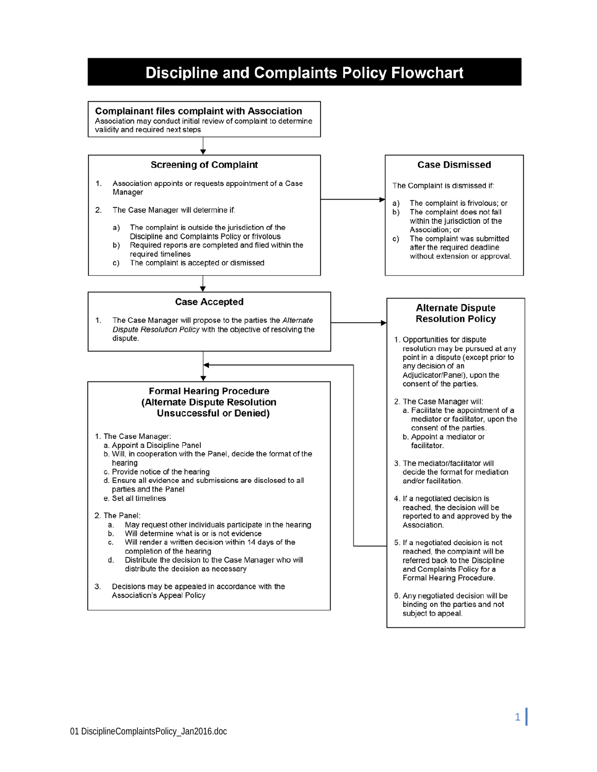# **Discipline and Complaints Policy Flowchart**

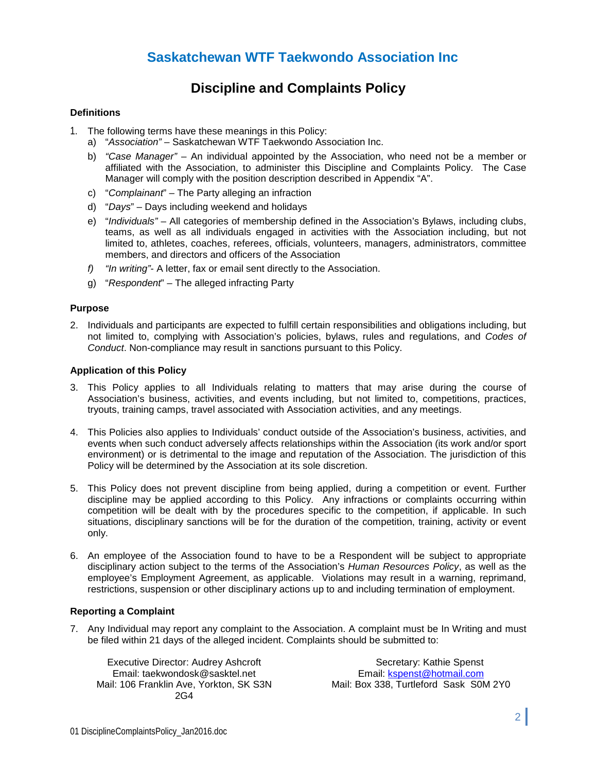# **Saskatchewan WTF Taekwondo Association Inc**

# **Discipline and Complaints Policy**

#### **Definitions**

- 1. The following terms have these meanings in this Policy:
	- a) "*Association"* Saskatchewan WTF Taekwondo Association Inc.
	- b) *"Case Manager"* An individual appointed by the Association, who need not be a member or affiliated with the Association, to administer this Discipline and Complaints Policy. The Case Manager will comply with the position description described in Appendix "A".
	- c) "*Complainant*" The Party alleging an infraction
	- d) "*Days*" Days including weekend and holidays
	- e) "*Individuals"* All categories of membership defined in the Association's Bylaws, including clubs, teams, as well as all individuals engaged in activities with the Association including, but not limited to, athletes, coaches, referees, officials, volunteers, managers, administrators, committee members, and directors and officers of the Association
	- *f) "In writing"* A letter, fax or email sent directly to the Association.
	- g) "*Respondent*" The alleged infracting Party

#### **Purpose**

2. Individuals and participants are expected to fulfill certain responsibilities and obligations including, but not limited to, complying with Association's policies, bylaws, rules and regulations, and *Codes of Conduct*. Non-compliance may result in sanctions pursuant to this Policy.

#### **Application of this Policy**

- 3. This Policy applies to all Individuals relating to matters that may arise during the course of Association's business, activities, and events including, but not limited to, competitions, practices, tryouts, training camps, travel associated with Association activities, and any meetings.
- 4. This Policies also applies to Individuals' conduct outside of the Association's business, activities, and events when such conduct adversely affects relationships within the Association (its work and/or sport environment) or is detrimental to the image and reputation of the Association. The jurisdiction of this Policy will be determined by the Association at its sole discretion.
- 5. This Policy does not prevent discipline from being applied, during a competition or event. Further discipline may be applied according to this Policy. Any infractions or complaints occurring within competition will be dealt with by the procedures specific to the competition, if applicable. In such situations, disciplinary sanctions will be for the duration of the competition, training, activity or event only.
- 6. An employee of the Association found to have to be a Respondent will be subject to appropriate disciplinary action subject to the terms of the Association's *Human Resources Policy*, as well as the employee's Employment Agreement, as applicable. Violations may result in a warning, reprimand, restrictions, suspension or other disciplinary actions up to and including termination of employment.

#### **Reporting a Complaint**

7. Any Individual may report any complaint to the Association. A complaint must be In Writing and must be filed within 21 days of the alleged incident. Complaints should be submitted to:

Executive Director: Audrey Ashcroft Email: taekwondosk@sasktel.net Mail: 106 Franklin Ave, Yorkton, SK S3N 2G4

Secretary: Kathie Spenst Email: [kspenst@hotmail.com](mailto:kspenst@hotmail.com) Mail: Box 338, Turtleford Sask S0M 2Y0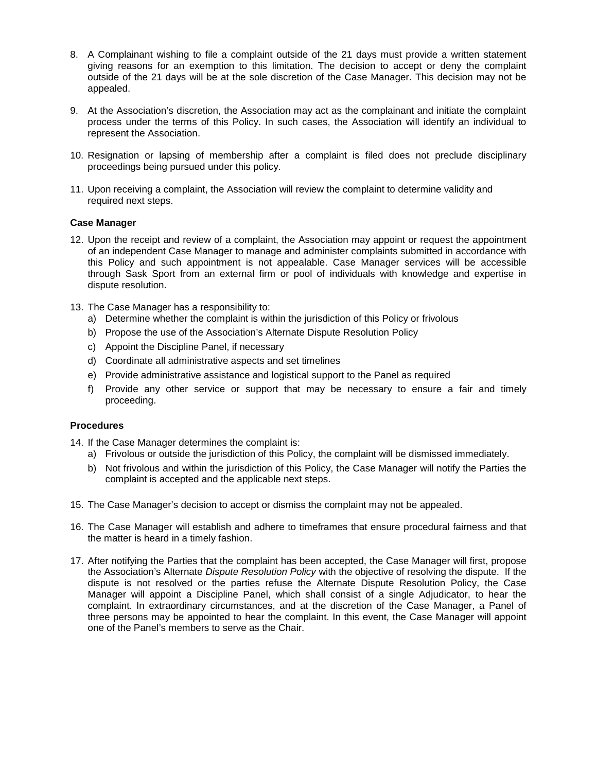- 8. A Complainant wishing to file a complaint outside of the 21 days must provide a written statement giving reasons for an exemption to this limitation. The decision to accept or deny the complaint outside of the 21 days will be considered by the Association and/or the Case Manager (if assigned). This decision may not be appealed.
- 9. At the Association's discretion, the Association may act as the complainant and initiate the complaint process under the terms of this Policy. In such cases, the Association will identify an individual to represent the Association.
- 10. Resignation or lapsing of membership after a complaint is filed does not preclude disciplinary proceedings being pursued under this policy.
- 11. Upon receiving a complaint, the Association will review the complaint to determine validity and required next steps.

#### **Case Manager**

- 12. Upon the receipt and review of a complaint, the Association may appoint or request the appointment of an independent Case Manager to manage and administer complaints submitted in accordance with this Policy and such appointment is not appealable. Case Manager services will be accessible through Sask Sport from an external firm or pool of individuals with knowledge and expertise in dispute resolution.
- 13. The Case Manager has a responsibility to:
	- a) Determine whether the complaint is within the jurisdiction of this Policy or frivolous
	- b) Propose the use of the Association's Alternate Dispute Resolution Policy
	- c) Appoint the Discipline Panel, if necessary
	- d) Coordinate all administrative aspects and set timelines
	- e) Provide administrative assistance and logistical support to the Panel as required
	- f) Provide any other service or support that may be necessary to ensure a fair and timely proceeding.

#### **Procedures**

14. If the Case Manager determines the complaint is:

- a) Frivolous or outside the jurisdiction of this Policy, the complaint will be dismissed immediately.
- b) Not frivolous and within the jurisdiction of this Policy, the Case Manager will notify the Parties the complaint is accepted and the applicable next steps.
- 15. The Case Manager's decision to accept or dismiss the complaint may not be appealed.
- 16. The Case Manager will establish and adhere to timeframes that ensure procedural fairness and that the matter is heard in a timely fashion.
- 17. After notifying the Parties that the complaint has been accepted, the Case Manager will first, propose the Association's Alternate *Dispute Resolution Policy* with the objective of resolving the dispute. If the dispute is not resolved or the parties refuse the Alternate Dispute Resolution Policy, the Case Manager will appoint a Discipline Panel, which shall consist of a single Adjudicator, to hear the complaint. In extraordinary circumstances, and at the discretion of the Case Manager, a Panel of three persons may be appointed to hear the complaint. In this event, the Case Manager will appoint one of the Panel's members to serve as the Chair.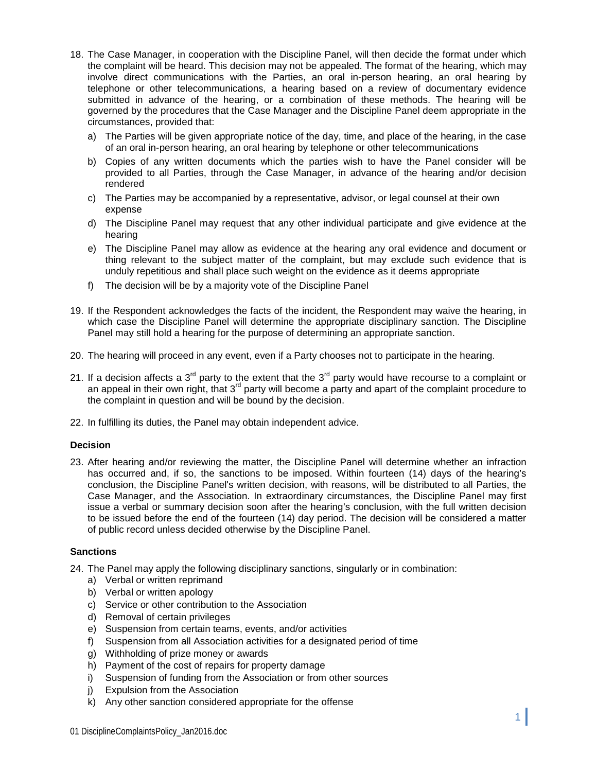- 18. The Case Manager, in cooperation with the Discipline Panel, will then decide the format under which the complaint will be heard. This decision may not be appealed. The format of the hearing, which may involve direct communications with the Parties, an oral in-person hearing, an oral hearing by telephone or other telecommunications, a hearing based on a review of documentary evidence submitted in advance of the hearing, or a combination of these methods. The hearing will be governed by the procedures that the Case Manager and the Discipline Panel deem appropriate in the circumstances, provided that:
	- a) The Parties will be given appropriate notice of the day, time, and place of the hearing, in the case of an oral in-person hearing, an oral hearing by telephone or other telecommunications
	- b) Copies of any written documents which the parties wish to have the Panel consider will be provided to all Parties, through the Case Manager, in advance of the hearing and/or decision rendered
	- c) The Parties may be accompanied by a representative, advisor, or legal counsel at their own expense
	- d) The Discipline Panel may request that any other individual participate and give evidence at the hearing
	- e) The Discipline Panel may allow as evidence at the hearing any oral evidence and document or thing relevant to the subject matter of the complaint, but may exclude such evidence that is unduly repetitious and shall place such weight on the evidence as it deems appropriate
	- f) The decision will be by a majority vote of the Discipline Panel
- 19. If the Respondent acknowledges the facts of the incident, the Respondent may waive the hearing, in which case the Discipline Panel will determine the appropriate disciplinary sanction. The Discipline Panel may still hold a hearing for the purpose of determining an appropriate sanction.
- 20. The hearing will proceed in any event, even if a Party chooses not to participate in the hearing.
- 21. If a decision affects a  $3<sup>rd</sup>$  party to the extent that the  $3<sup>rd</sup>$  party would have recourse to a complaint or an appeal in their own right, that  $3<sup>rd</sup>$  party will become a party and apart of the complaint procedure to the complaint in question and will be bound by the decision.
- 22. In fulfilling its duties, the Panel may obtain independent advice.

#### **Decision**

23. After hearing and/or reviewing the matter, the Discipline Panel will determine whether an infraction has occurred and, if so, the sanctions to be imposed. Within fourteen (14) days of the hearing's conclusion, the Discipline Panel's written decision, with reasons, will be distributed to all Parties, the Case Manager, and the Association. In extraordinary circumstances, the Discipline Panel may first issue a verbal or summary decision soon after the hearing's conclusion, with the full written decision to be issued before the end of the fourteen (14) day period. The decision will be considered a matter of public record unless decided otherwise by the Discipline Panel.

#### **Sanctions**

- 24. The Panel may apply the following disciplinary sanctions, singularly or in combination:
	- a) Verbal or written reprimand
	- b) Verbal or written apology
	- c) Service or other contribution to the Association
	- d) Removal of certain privileges
	- e) Suspension from certain teams, events, and/or activities
	- f) Suspension from all Association activities for a designated period of time
	- g) Withholding of prize money or awards
	- h) Payment of the cost of repairs for property damage
	- i) Suspension of funding from the Association or from other sources
	- j) Expulsion from the Association
	- k) Any other sanction considered appropriate for the offense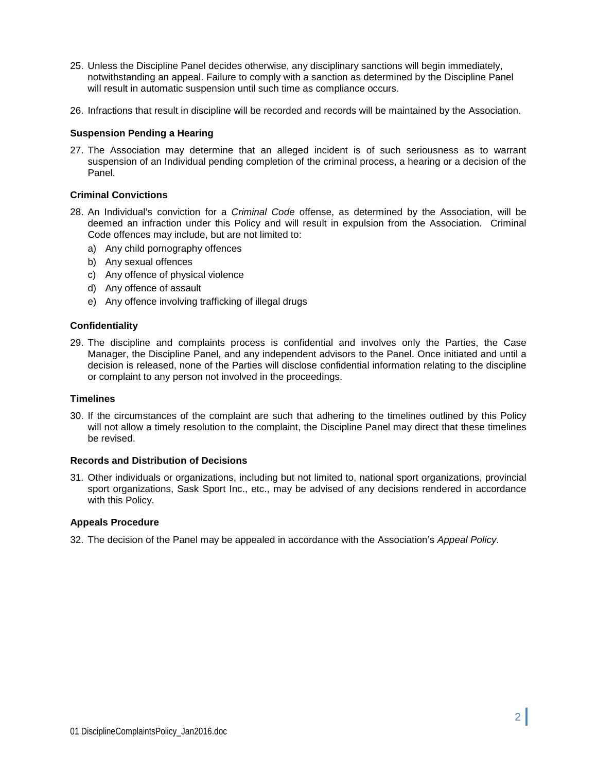- 25. Unless the Discipline Panel decides otherwise, any disciplinary sanctions will begin immediately, notwithstanding an appeal. Failure to comply with a sanction as determined by the Discipline Panel will result in automatic suspension until such time as compliance occurs.
- 26. Infractions that result in discipline will be recorded and records will be maintained by the Association.

#### **Suspension Pending a Hearing**

27. The Association may determine that an alleged incident is of such seriousness as to warrant suspension of an Individual pending completion of the criminal process, a hearing or a decision of the Panel.

#### **Criminal Convictions**

- 28. An Individual's conviction for a *Criminal Code* offense, as determined by the Association, will be deemed an infraction under this Policy and will result in expulsion from the Association. Criminal Code offences may include, but are not limited to:
	- a) Any child pornography offences
	- b) Any sexual offences
	- c) Any offence of physical violence
	- d) Any offence of assault
	- e) Any offence involving trafficking of illegal drugs

#### **Confidentiality**

29. The discipline and complaints process is confidential and involves only the Parties, the Case Manager, the Discipline Panel, and any independent advisors to the Panel. Once initiated and until a decision is released, none of the Parties will disclose confidential information relating to the discipline or complaint to any person not involved in the proceedings.

#### **Timelines**

30. If the circumstances of the complaint are such that adhering to the timelines outlined by this Policy will not allow a timely resolution to the complaint, the Discipline Panel may direct that these timelines be revised.

#### **Records and Distribution of Decisions**

31. Other individuals or organizations, including but not limited to, national sport organizations, provincial sport organizations, Sask Sport Inc., etc., may be advised of any decisions rendered in accordance with this Policy.

#### **Appeals Procedure**

32. The decision of the Panel may be appealed in accordance with the Association's *Appeal Policy*.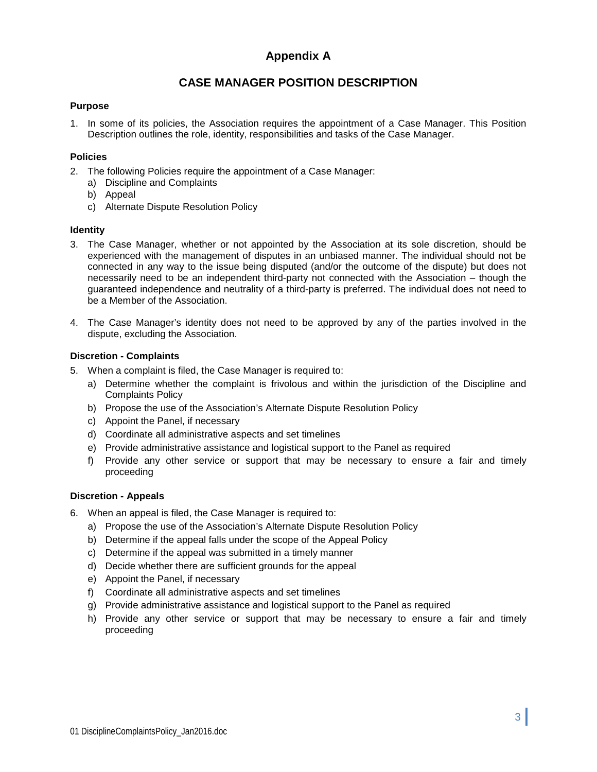### **Appendix A**

### **CASE MANAGER POSITION DESCRIPTION**

#### **Purpose**

1. In some of its policies, the Association requires the appointment of a Case Manager. This Position Description outlines the role, identity, responsibilities and tasks of the Case Manager.

#### **Policies**

- 2. The following Policies require the appointment of a Case Manager:
	- a) Discipline and Complaints
	- b) Appeal
	- c) Alternate Dispute Resolution Policy

#### **Identity**

- 3. The Case Manager, whether or not appointed by the Association at its sole discretion, should be experienced with the management of disputes in an unbiased manner. The individual should not be connected in any way to the issue being disputed (and/or the outcome of the dispute) but does not necessarily need to be an independent third-party not connected with the Association – though the guaranteed independence and neutrality of a third-party is preferred. The individual does not need to be a Member of the Association.
- 4. The Case Manager's identity does not need to be approved by any of the parties involved in the dispute, excluding the Association.

#### **Discretion - Complaints**

- 5. When a complaint is filed, the Case Manager is required to:
	- a) Determine whether the complaint is frivolous and within the jurisdiction of the Discipline and Complaints Policy
	- b) Propose the use of the Association's Alternate Dispute Resolution Policy
	- c) Appoint the Panel, if necessary
	- d) Coordinate all administrative aspects and set timelines
	- e) Provide administrative assistance and logistical support to the Panel as required
	- f) Provide any other service or support that may be necessary to ensure a fair and timely proceeding

#### **Discretion - Appeals**

- 6. When an appeal is filed, the Case Manager is required to:
	- a) Propose the use of the Association's Alternate Dispute Resolution Policy
	- b) Determine if the appeal falls under the scope of the Appeal Policy
	- c) Determine if the appeal was submitted in a timely manner
	- d) Decide whether there are sufficient grounds for the appeal
	- e) Appoint the Panel, if necessary
	- f) Coordinate all administrative aspects and set timelines
	- g) Provide administrative assistance and logistical support to the Panel as required
	- h) Provide any other service or support that may be necessary to ensure a fair and timely proceeding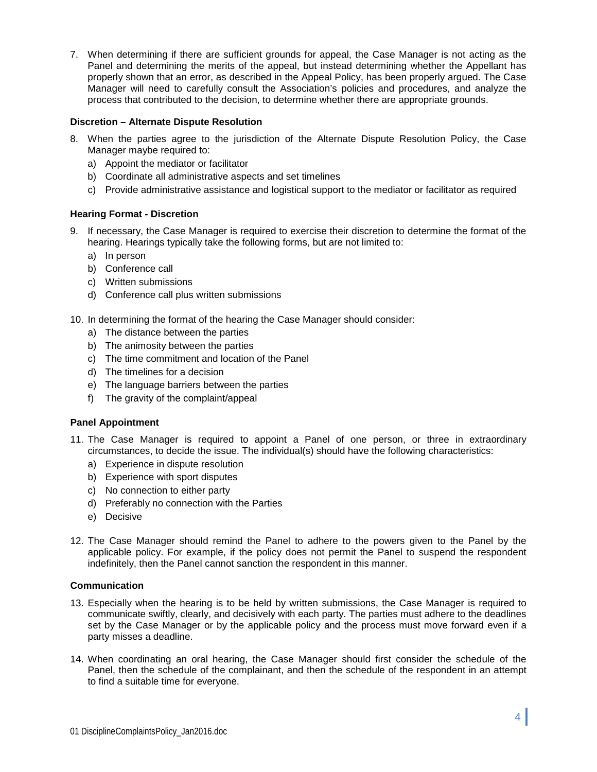7. When determining if there are sufficient grounds for appeal, the Case Manager is not acting as the Panel and determining the merits of the appeal, but instead determining whether the Appellant has properly shown that an error, as described in the Appeal Policy, has been properly argued. The Case Manager will need to carefully consult the Association's policies and procedures, and analyze the process that contributed to the decision, to determine whether there are appropriate grounds.

#### **Discretion – Alternate Dispute Resolution**

- 8. When the parties agree to the jurisdiction of the Alternate Dispute Resolution Policy, the Case Manager maybe required to:
	- a) Appoint the mediator or facilitator
	- b) Coordinate all administrative aspects and set timelines
	- c) Provide administrative assistance and logistical support to the mediator or facilitator as required

#### **Hearing Format - Discretion**

- 9. If necessary, the Case Manager is required to exercise their discretion to determine the format of the hearing. Hearings typically take the following forms, but are not limited to:
	- a) In person
	- b) Conference call
	- c) Written submissions
	- d) Conference call plus written submissions
- 10. In determining the format of the hearing the Case Manager should consider:
	- a) The distance between the parties
	- b) The animosity between the parties
	- c) The time commitment and location of the Panel
	- d) The timelines for a decision
	- e) The language barriers between the parties
	- f) The gravity of the complaint/appeal

#### **Panel Appointment**

- 11. The Case Manager is required to appoint a Panel of one person, or three in extraordinary circumstances, to decide the issue. The individual(s) should have the following characteristics:
	- a) Experience in dispute resolution
	- b) Experience with sport disputes
	- c) No connection to either party
	- d) Preferably no connection with the Parties
	- e) Decisive
- 12. The Case Manager should remind the Panel to adhere to the powers given to the Panel by the applicable policy. For example, if the policy does not permit the Panel to suspend the respondent indefinitely, then the Panel cannot sanction the respondent in this manner.

#### **Communication**

- 13. Especially when the hearing is to be held by written submissions, the Case Manager is required to communicate swiftly, clearly, and decisively with each party. The parties must adhere to the deadlines set by the Case Manager or by the applicable policy and the process must move forward even if a party misses a deadline.
- 14. When coordinating an oral hearing, the Case Manager should first consider the schedule of the Panel, then the schedule of the complainant, and then the schedule of the respondent in an attempt to find a suitable time for everyone.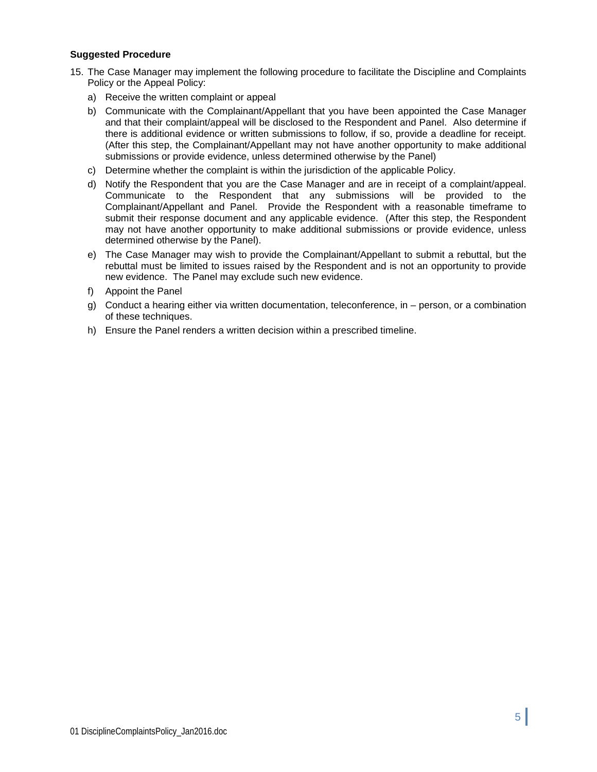#### **Suggested Procedure**

- 15. The Case Manager may implement the following procedure to facilitate the Discipline and Complaints Policy or the Appeal Policy:
	- a) Receive the written complaint or appeal
	- b) Communicate with the Complainant/Appellant that you have been appointed the Case Manager and that their complaint/appeal will be disclosed to the Respondent and Panel. Also determine if there is additional evidence or written submissions to follow, if so, provide a deadline for receipt. (After this step, the Complainant/Appellant may not have another opportunity to make additional submissions or provide evidence, unless determined otherwise by the Panel)
	- c) Determine whether the complaint is within the jurisdiction of the applicable Policy.
	- d) Notify the Respondent that you are the Case Manager and are in receipt of a complaint/appeal. Communicate to the Respondent that any submissions will be provided to the Complainant/Appellant and Panel. Provide the Respondent with a reasonable timeframe to submit their response document and any applicable evidence. (After this step, the Respondent may not have another opportunity to make additional submissions or provide evidence, unless determined otherwise by the Panel).
	- e) The Case Manager may wish to provide the Complainant/Appellant to submit a rebuttal, but the rebuttal must be limited to issues raised by the Respondent and is not an opportunity to provide new evidence. The Panel may exclude such new evidence.
	- f) Appoint the Panel
	- g) Conduct a hearing either via written documentation, teleconference, in person, or a combination of these techniques.
	- h) Ensure the Panel renders a written decision within a prescribed timeline.